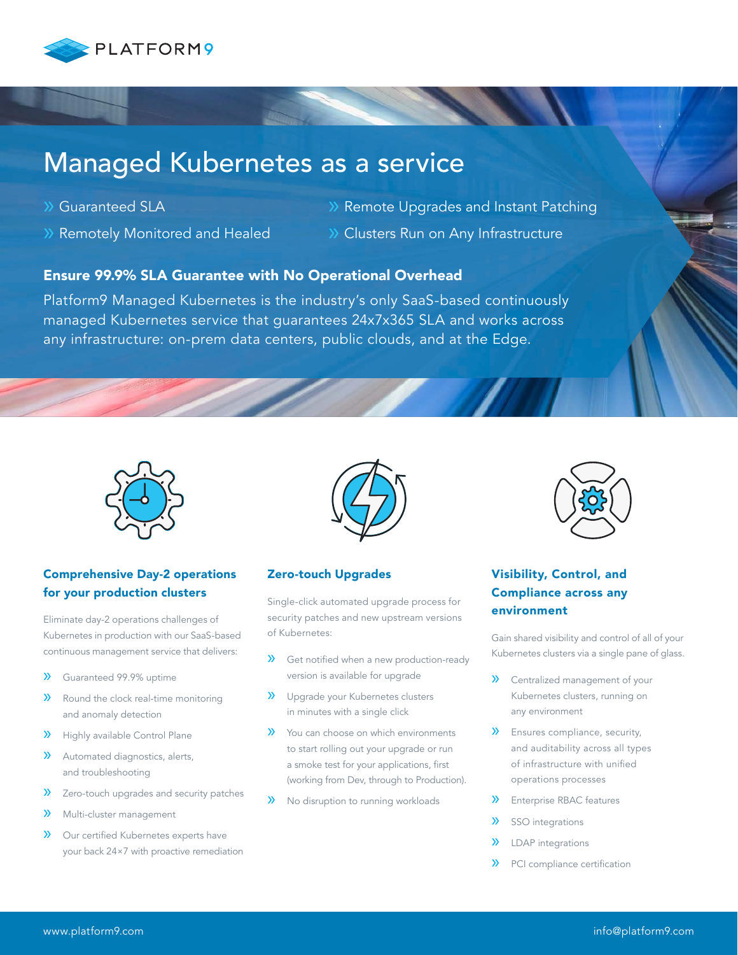

## Managed Kubernetes as a service

- » Guaranteed SLA
- » Remotely Monitored and Healed
- » Remote Upgrades and Instant Patching
- » Clusters Run on Any Infrastructure

### Ensure 99.9% SLA Guarantee with No Operational Overhead

Platform9 Managed Kubernetes is the industry's only SaaS-based continuously managed Kubernetes service that guarantees 24x7x365 SLA and works across any infrastructure: on-prem data centers, public clouds, and at the Edge.



#### Comprehensive Day-2 operations for your production clusters

Eliminate day-2 operations challenges of Kubernetes in production with our SaaS-based continuous management service that delivers:

- » Guaranteed 99.9% uptime
- » Round the clock real-time monitoring and anomaly detection
- » Highly available Control Plane
- » Automated diagnostics, alerts, and troubleshooting
- » Zero-touch upgrades and security patches
- » Multi-cluster management
- » Our certified Kubernetes experts have your back 24×7 with proactive remediation



#### Zero-touch Upgrades

Single-click automated upgrade process for security patches and new upstream versions of Kubernetes:

- » Get notified when a new production-ready version is available for upgrade
- » Upgrade your Kubernetes clusters in minutes with a single click
- » You can choose on which environments to start rolling out your upgrade or run a smoke test for your applications, first (working from Dev, through to Production).
- » No disruption to running workloads



## Visibility, Control, and Compliance across any environment

Gain shared visibility and control of all of your Kubernetes clusters via a single pane of glass.

- » Centralized management of your Kubernetes clusters, running on any environment
- » Ensures compliance, security, and auditability across all types of infrastructure with unified operations processes
- » Enterprise RBAC features
- » SSO integrations
- » LDAP integrations
- » PCI compliance certification